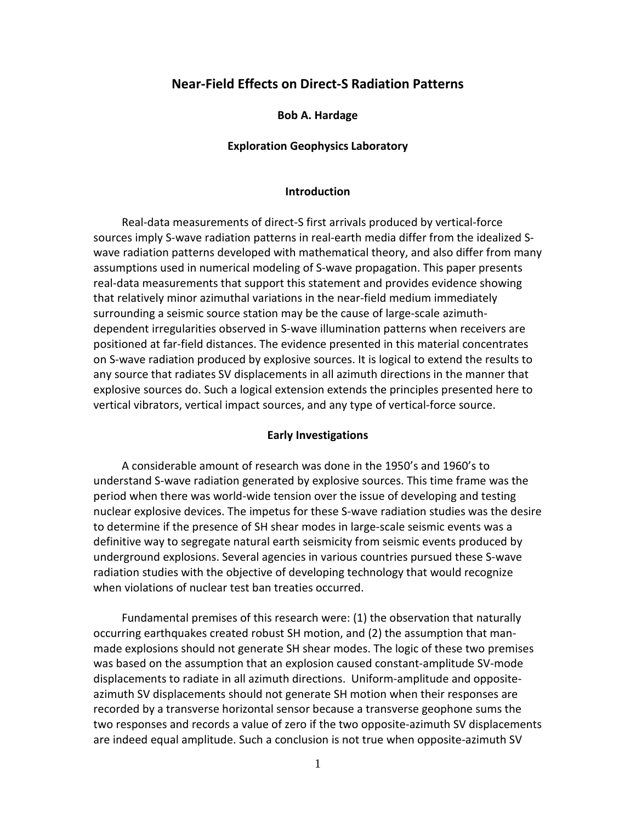# **Near-Field Effects on Direct-S Radiation Patterns**

**Bob A. Hardage**

### **Exploration Geophysics Laboratory**

### **Introduction**

 Real-data measurements of direct-S first arrivals produced by vertical-force sources imply S-wave radiation patterns in real-earth media differ from the idealized Swave radiation patterns developed with mathematical theory, and also differ from many assumptions used in numerical modeling of S-wave propagation. This paper presents real-data measurements that support this statement and provides evidence showing that relatively minor azimuthal variations in the near-field medium immediately surrounding a seismic source station may be the cause of large-scale azimuthdependent irregularities observed in S-wave illumination patterns when receivers are positioned at far-field distances. The evidence presented in this material concentrates on S-wave radiation produced by explosive sources. It is logical to extend the results to any source that radiates SV displacements in all azimuth directions in the manner that explosive sources do. Such a logical extension extends the principles presented here to vertical vibrators, vertical impact sources, and any type of vertical-force source.

### **Early Investigations**

 A considerable amount of research was done in the 1950's and 1960's to understand S-wave radiation generated by explosive sources. This time frame was the period when there was world-wide tension over the issue of developing and testing nuclear explosive devices. The impetus for these S-wave radiation studies was the desire to determine if the presence of SH shear modes in large-scale seismic events was a definitive way to segregate natural earth seismicity from seismic events produced by underground explosions. Several agencies in various countries pursued these S-wave radiation studies with the objective of developing technology that would recognize when violations of nuclear test ban treaties occurred.

 Fundamental premises of this research were: (1) the observation that naturally occurring earthquakes created robust SH motion, and (2) the assumption that manmade explosions should not generate SH shear modes. The logic of these two premises was based on the assumption that an explosion caused constant-amplitude SV-mode displacements to radiate in all azimuth directions. Uniform-amplitude and oppositeazimuth SV displacements should not generate SH motion when their responses are recorded by a transverse horizontal sensor because a transverse geophone sums the two responses and records a value of zero if the two opposite-azimuth SV displacements are indeed equal amplitude. Such a conclusion is not true when opposite-azimuth SV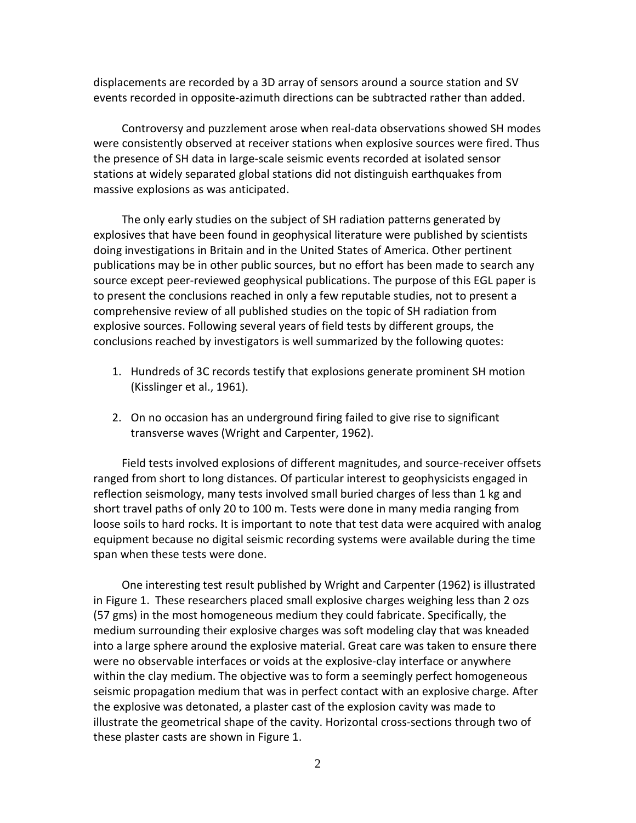displacements are recorded by a 3D array of sensors around a source station and SV events recorded in opposite-azimuth directions can be subtracted rather than added.

 Controversy and puzzlement arose when real-data observations showed SH modes were consistently observed at receiver stations when explosive sources were fired. Thus the presence of SH data in large-scale seismic events recorded at isolated sensor stations at widely separated global stations did not distinguish earthquakes from massive explosions as was anticipated.

 The only early studies on the subject of SH radiation patterns generated by explosives that have been found in geophysical literature were published by scientists doing investigations in Britain and in the United States of America. Other pertinent publications may be in other public sources, but no effort has been made to search any source except peer-reviewed geophysical publications. The purpose of this EGL paper is to present the conclusions reached in only a few reputable studies, not to present a comprehensive review of all published studies on the topic of SH radiation from explosive sources. Following several years of field tests by different groups, the conclusions reached by investigators is well summarized by the following quotes:

- 1. Hundreds of 3C records testify that explosions generate prominent SH motion (Kisslinger et al., 1961).
- 2. On no occasion has an underground firing failed to give rise to significant transverse waves (Wright and Carpenter, 1962).

 Field tests involved explosions of different magnitudes, and source-receiver offsets ranged from short to long distances. Of particular interest to geophysicists engaged in reflection seismology, many tests involved small buried charges of less than 1 kg and short travel paths of only 20 to 100 m. Tests were done in many media ranging from loose soils to hard rocks. It is important to note that test data were acquired with analog equipment because no digital seismic recording systems were available during the time span when these tests were done.

 One interesting test result published by Wright and Carpenter (1962) is illustrated in Figure 1. These researchers placed small explosive charges weighing less than 2 ozs (57 gms) in the most homogeneous medium they could fabricate. Specifically, the medium surrounding their explosive charges was soft modeling clay that was kneaded into a large sphere around the explosive material. Great care was taken to ensure there were no observable interfaces or voids at the explosive-clay interface or anywhere within the clay medium. The objective was to form a seemingly perfect homogeneous seismic propagation medium that was in perfect contact with an explosive charge. After the explosive was detonated, a plaster cast of the explosion cavity was made to illustrate the geometrical shape of the cavity. Horizontal cross-sections through two of these plaster casts are shown in Figure 1.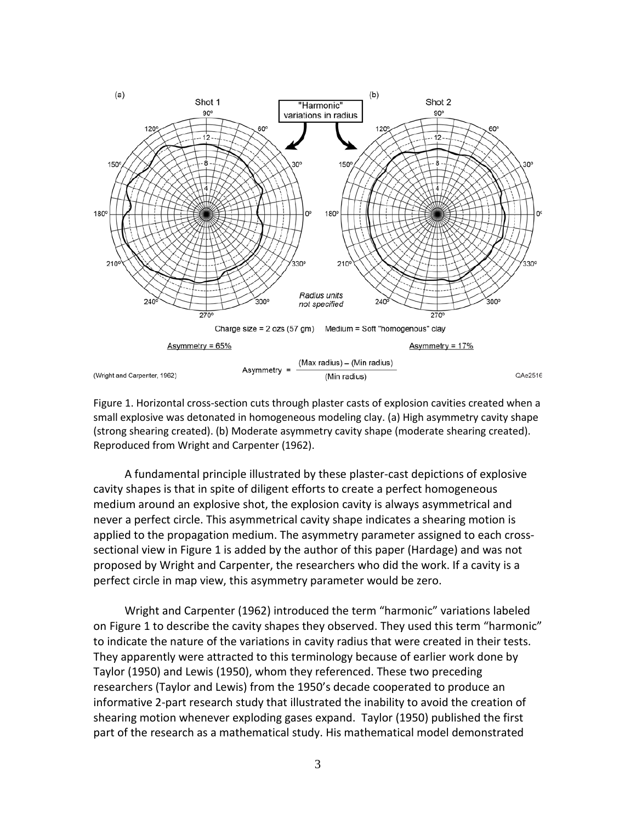

Figure 1. Horizontal cross-section cuts through plaster casts of explosion cavities created when a small explosive was detonated in homogeneous modeling clay. (a) High asymmetry cavity shape (strong shearing created). (b) Moderate asymmetry cavity shape (moderate shearing created). Reproduced from Wright and Carpenter (1962).

 A fundamental principle illustrated by these plaster-cast depictions of explosive cavity shapes is that in spite of diligent efforts to create a perfect homogeneous medium around an explosive shot, the explosion cavity is always asymmetrical and never a perfect circle. This asymmetrical cavity shape indicates a shearing motion is applied to the propagation medium. The asymmetry parameter assigned to each crosssectional view in Figure 1 is added by the author of this paper (Hardage) and was not proposed by Wright and Carpenter, the researchers who did the work. If a cavity is a perfect circle in map view, this asymmetry parameter would be zero.

 Wright and Carpenter (1962) introduced the term "harmonic" variations labeled on Figure 1 to describe the cavity shapes they observed. They used this term "harmonic" to indicate the nature of the variations in cavity radius that were created in their tests. They apparently were attracted to this terminology because of earlier work done by Taylor (1950) and Lewis (1950), whom they referenced. These two preceding researchers (Taylor and Lewis) from the 1950's decade cooperated to produce an informative 2-part research study that illustrated the inability to avoid the creation of shearing motion whenever exploding gases expand. Taylor (1950) published the first part of the research as a mathematical study. His mathematical model demonstrated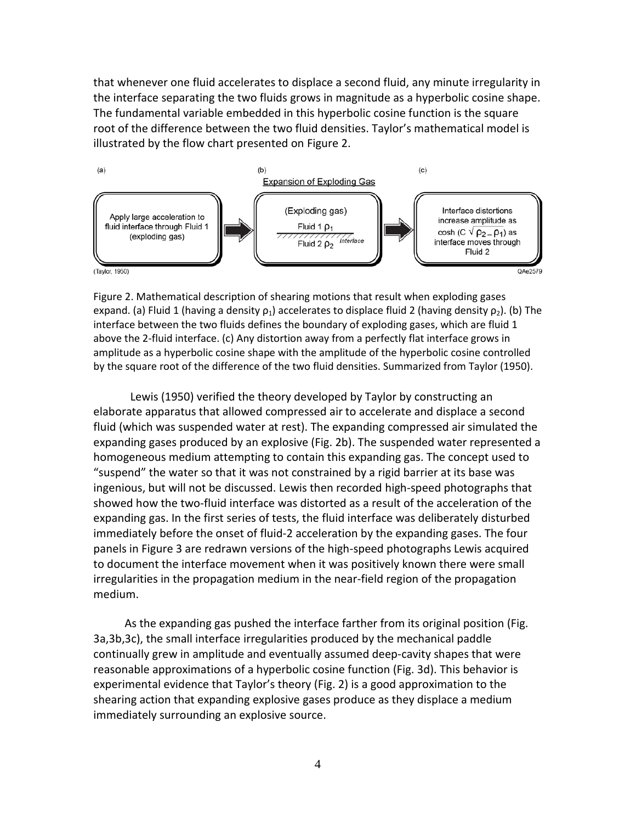that whenever one fluid accelerates to displace a second fluid, any minute irregularity in the interface separating the two fluids grows in magnitude as a hyperbolic cosine shape. The fundamental variable embedded in this hyperbolic cosine function is the square root of the difference between the two fluid densities. Taylor's mathematical model is illustrated by the flow chart presented on Figure 2.



Figure 2. Mathematical description of shearing motions that result when exploding gases expand. (a) Fluid 1 (having a density  $\rho_1$ ) accelerates to displace fluid 2 (having density  $\rho_2$ ). (b) The interface between the two fluids defines the boundary of exploding gases, which are fluid 1 above the 2-fluid interface. (c) Any distortion away from a perfectly flat interface grows in amplitude as a hyperbolic cosine shape with the amplitude of the hyperbolic cosine controlled by the square root of the difference of the two fluid densities. Summarized from Taylor (1950).

 Lewis (1950) verified the theory developed by Taylor by constructing an elaborate apparatus that allowed compressed air to accelerate and displace a second fluid (which was suspended water at rest). The expanding compressed air simulated the expanding gases produced by an explosive (Fig. 2b). The suspended water represented a homogeneous medium attempting to contain this expanding gas. The concept used to "suspend" the water so that it was not constrained by a rigid barrier at its base was ingenious, but will not be discussed. Lewis then recorded high-speed photographs that showed how the two-fluid interface was distorted as a result of the acceleration of the expanding gas. In the first series of tests, the fluid interface was deliberately disturbed immediately before the onset of fluid-2 acceleration by the expanding gases. The four panels in Figure 3 are redrawn versions of the high-speed photographs Lewis acquired to document the interface movement when it was positively known there were small irregularities in the propagation medium in the near-field region of the propagation medium.

 As the expanding gas pushed the interface farther from its original position (Fig. 3a,3b,3c), the small interface irregularities produced by the mechanical paddle continually grew in amplitude and eventually assumed deep-cavity shapes that were reasonable approximations of a hyperbolic cosine function (Fig. 3d). This behavior is experimental evidence that Taylor's theory (Fig. 2) is a good approximation to the shearing action that expanding explosive gases produce as they displace a medium immediately surrounding an explosive source.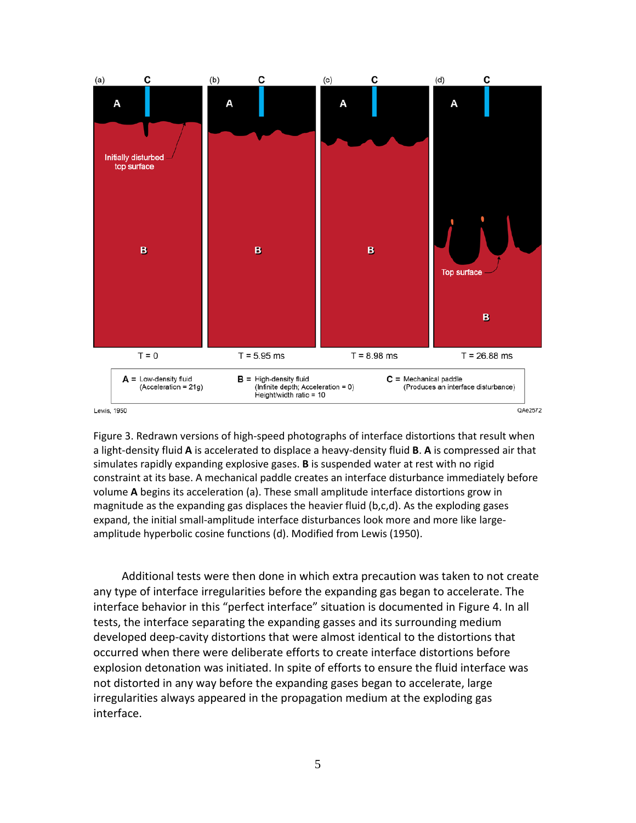

Figure 3. Redrawn versions of high-speed photographs of interface distortions that result when a light-density fluid **A** is accelerated to displace a heavy-density fluid **B**. **A** is compressed air that simulates rapidly expanding explosive gases. **B** is suspended water at rest with no rigid constraint at its base. A mechanical paddle creates an interface disturbance immediately before volume **A** begins its acceleration (a). These small amplitude interface distortions grow in magnitude as the expanding gas displaces the heavier fluid (b,c,d). As the exploding gases expand, the initial small-amplitude interface disturbances look more and more like largeamplitude hyperbolic cosine functions (d). Modified from Lewis (1950).

 Additional tests were then done in which extra precaution was taken to not create any type of interface irregularities before the expanding gas began to accelerate. The interface behavior in this "perfect interface" situation is documented in Figure 4. In all tests, the interface separating the expanding gasses and its surrounding medium developed deep-cavity distortions that were almost identical to the distortions that occurred when there were deliberate efforts to create interface distortions before explosion detonation was initiated. In spite of efforts to ensure the fluid interface was not distorted in any way before the expanding gases began to accelerate, large irregularities always appeared in the propagation medium at the exploding gas interface.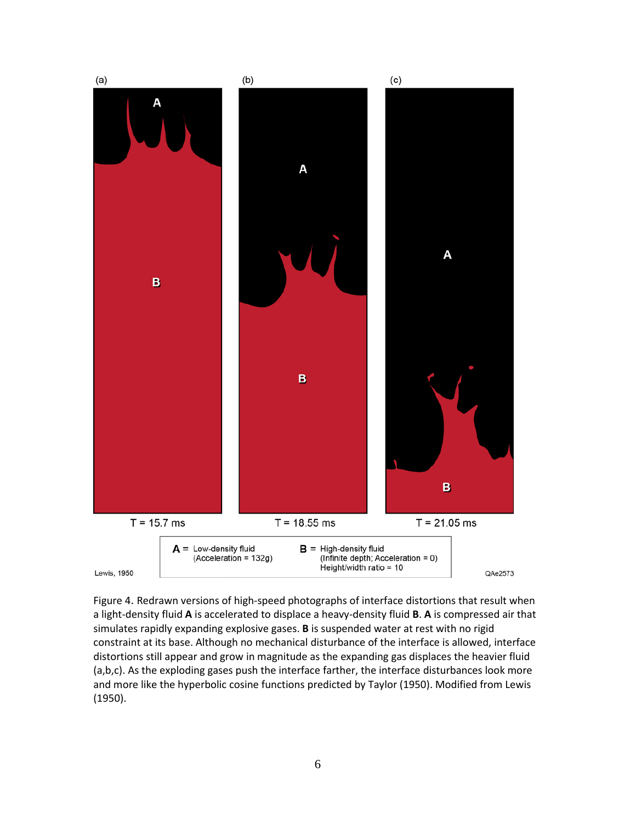

Figure 4. Redrawn versions of high-speed photographs of interface distortions that result when a light-density fluid **A** is accelerated to displace a heavy-density fluid **B**. **A** is compressed air that simulates rapidly expanding explosive gases. **B** is suspended water at rest with no rigid constraint at its base. Although no mechanical disturbance of the interface is allowed, interface distortions still appear and grow in magnitude as the expanding gas displaces the heavier fluid (a,b,c). As the exploding gases push the interface farther, the interface disturbances look more and more like the hyperbolic cosine functions predicted by Taylor (1950). Modified from Lewis (1950).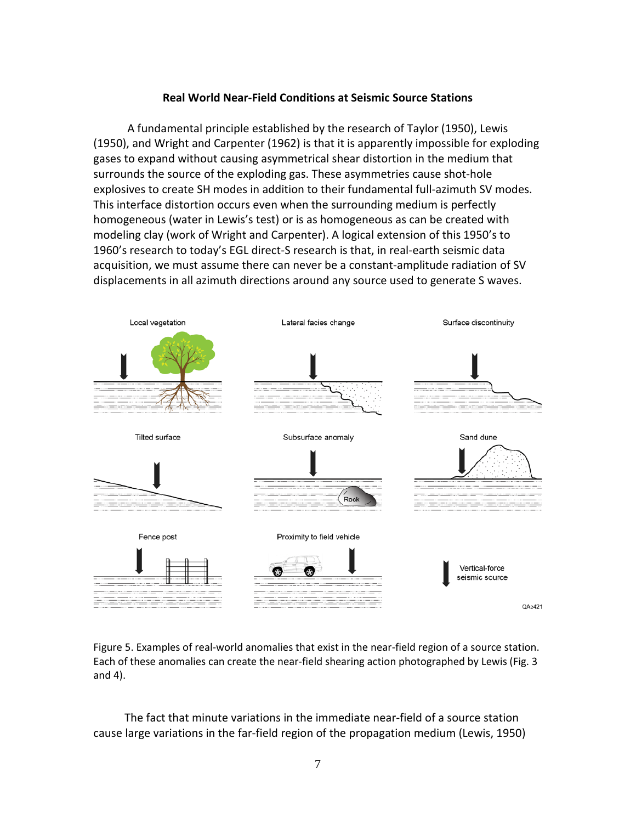# **Real World Near-Field Conditions at Seismic Source Stations**

 A fundamental principle established by the research of Taylor (1950), Lewis (1950), and Wright and Carpenter (1962) is that it is apparently impossible for exploding gases to expand without causing asymmetrical shear distortion in the medium that surrounds the source of the exploding gas. These asymmetries cause shot-hole explosives to create SH modes in addition to their fundamental full-azimuth SV modes. This interface distortion occurs even when the surrounding medium is perfectly homogeneous (water in Lewis's test) or is as homogeneous as can be created with modeling clay (work of Wright and Carpenter). A logical extension of this 1950's to 1960's research to today's EGL direct-S research is that, in real-earth seismic data acquisition, we must assume there can never be a constant-amplitude radiation of SV displacements in all azimuth directions around any source used to generate S waves.



Figure 5. Examples of real-world anomalies that exist in the near-field region of a source station. Each of these anomalies can create the near-field shearing action photographed by Lewis (Fig. 3 and 4).

 The fact that minute variations in the immediate near-field of a source station cause large variations in the far-field region of the propagation medium (Lewis, 1950)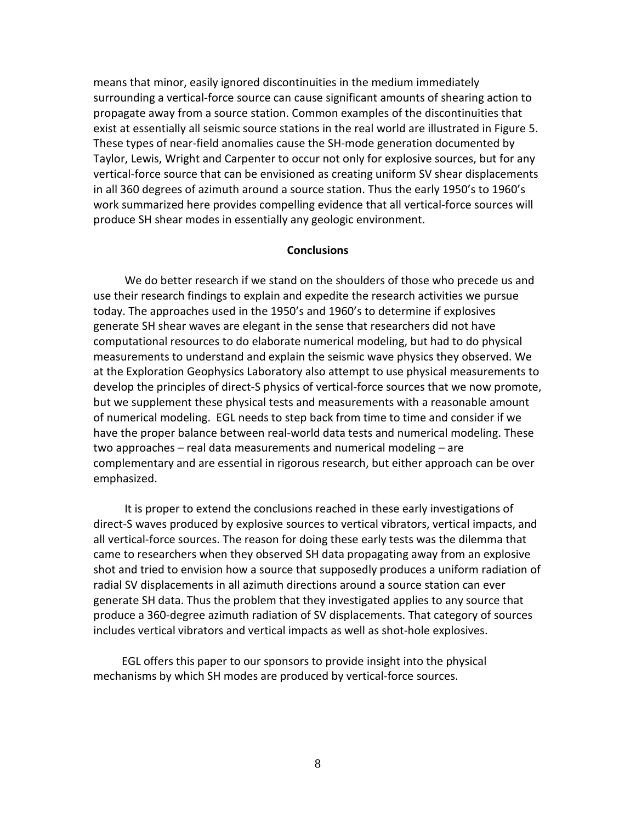means that minor, easily ignored discontinuities in the medium immediately surrounding a vertical-force source can cause significant amounts of shearing action to propagate away from a source station. Common examples of the discontinuities that exist at essentially all seismic source stations in the real world are illustrated in Figure 5. These types of near-field anomalies cause the SH-mode generation documented by Taylor, Lewis, Wright and Carpenter to occur not only for explosive sources, but for any vertical-force source that can be envisioned as creating uniform SV shear displacements in all 360 degrees of azimuth around a source station. Thus the early 1950's to 1960's work summarized here provides compelling evidence that all vertical-force sources will produce SH shear modes in essentially any geologic environment.

### **Conclusions**

 We do better research if we stand on the shoulders of those who precede us and use their research findings to explain and expedite the research activities we pursue today. The approaches used in the 1950's and 1960's to determine if explosives generate SH shear waves are elegant in the sense that researchers did not have computational resources to do elaborate numerical modeling, but had to do physical measurements to understand and explain the seismic wave physics they observed. We at the Exploration Geophysics Laboratory also attempt to use physical measurements to develop the principles of direct-S physics of vertical-force sources that we now promote, but we supplement these physical tests and measurements with a reasonable amount of numerical modeling. EGL needs to step back from time to time and consider if we have the proper balance between real-world data tests and numerical modeling. These two approaches – real data measurements and numerical modeling – are complementary and are essential in rigorous research, but either approach can be over emphasized.

 It is proper to extend the conclusions reached in these early investigations of direct-S waves produced by explosive sources to vertical vibrators, vertical impacts, and all vertical-force sources. The reason for doing these early tests was the dilemma that came to researchers when they observed SH data propagating away from an explosive shot and tried to envision how a source that supposedly produces a uniform radiation of radial SV displacements in all azimuth directions around a source station can ever generate SH data. Thus the problem that they investigated applies to any source that produce a 360-degree azimuth radiation of SV displacements. That category of sources includes vertical vibrators and vertical impacts as well as shot-hole explosives.

 EGL offers this paper to our sponsors to provide insight into the physical mechanisms by which SH modes are produced by vertical-force sources.